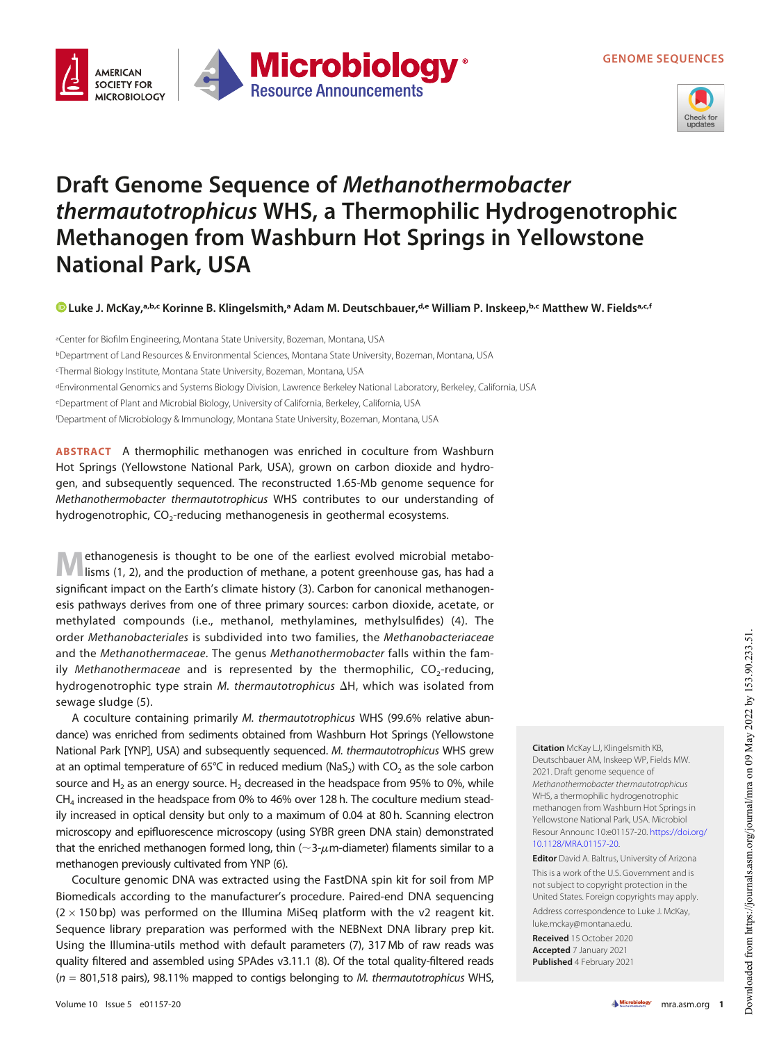GENOME SEQUENCES





## Draft Genome Sequence of Methanothermobacter thermautotrophicus WHS, a Thermophilic Hydrogenotrophic Methanogen from Washburn Hot Springs in Yellowstone National Park, USA

[Luke J. McKay,](https://orcid.org/0000-0003-2942-1821)<u>ab.c Korinne B. Klingelsmith,a Adam M. Deutschbauer,de William P. Inskeep,b.c Matthew W. Fieldsa.c.f</u>

aCenter for Biofilm Engineering, Montana State University, Bozeman, Montana, USA bDepartment of Land Resources & Environmental Sciences, Montana State University, Bozeman, Montana, USA cThermal Biology Institute, Montana State University, Bozeman, Montana, USA dEnvironmental Genomics and Systems Biology Division, Lawrence Berkeley National Laboratory, Berkeley, California, USA eDepartment of Plant and Microbial Biology, University of California, Berkeley, California, USA f Department of Microbiology & Immunology, Montana State University, Bozeman, Montana, USA

ABSTRACT A thermophilic methanogen was enriched in coculture from Washburn Hot Springs (Yellowstone National Park, USA), grown on carbon dioxide and hydrogen, and subsequently sequenced. The reconstructed 1.65-Mb genome sequence for Methanothermobacter thermautotrophicus WHS contributes to our understanding of hydrogenotrophic, CO<sub>2</sub>-reducing methanogenesis in geothermal ecosystems.

**Methanogenesis is thought to be one of the earliest evolved microbial metabo-**<br>lisms ([1](#page-1-0), [2](#page-1-1)), and the production of methane, a potent greenhouse gas, has had a significant impact on the Earth's climate history ([3\)](#page-1-2). Carbon for canonical methanogenesis pathways derives from one of three primary sources: carbon dioxide, acetate, or methylated compounds (i.e., methanol, methylamines, methylsulfides) ([4\)](#page-1-3). The order Methanobacteriales is subdivided into two families, the Methanobacteriaceae and the Methanothermaceae. The genus Methanothermobacter falls within the family Methanothermaceae and is represented by the thermophilic,  $CO<sub>2</sub>$ -reducing, hydrogenotrophic type strain M. thermautotrophicus  $\Delta H$ , which was isolated from sewage sludge [\(5](#page-1-4)).

A coculture containing primarily M. thermautotrophicus WHS (99.6% relative abundance) was enriched from sediments obtained from Washburn Hot Springs (Yellowstone National Park [YNP], USA) and subsequently sequenced. M. thermautotrophicus WHS grew at an optimal temperature of 65 $^{\circ}$ C in reduced medium (NaS<sub>2</sub>) with CO<sub>2</sub> as the sole carbon source and  $H_2$  as an energy source. H<sub>2</sub> decreased in the headspace from 95% to 0%, while  $CH<sub>4</sub>$  increased in the headspace from 0% to 46% over 128 h. The coculture medium steadily increased in optical density but only to a maximum of 0.04 at 80 h. Scanning electron microscopy and epifluorescence microscopy (using SYBR green DNA stain) demonstrated that the enriched methanogen formed long, thin ( $\sim$ 3- $\mu$ m-diameter) filaments similar to a methanogen previously cultivated from YNP ([6](#page-1-5)).

Coculture genomic DNA was extracted using the FastDNA spin kit for soil from MP Biomedicals according to the manufacturer's procedure. Paired-end DNA sequencing  $(2 \times 150$  bp) was performed on the Illumina MiSeq platform with the v2 reagent kit. Sequence library preparation was performed with the NEBNext DNA library prep kit. Using the Illumina-utils method with default parameters ([7](#page-2-0)), 317 Mb of raw reads was quality filtered and assembled using SPAdes v3.11.1 [\(8](#page-2-1)). Of the total quality-filtered reads  $(n = 801, 518 \text{ pairs})$ , 98.11% mapped to contigs belonging to *M. thermautotrophicus* WHS, Citation McKay LJ, Klingelsmith KB, Deutschbauer AM, Inskeep WP, Fields MW. 2021. Draft genome sequence of Methanothermobacter thermautotrophicus WHS, a thermophilic hydrogenotrophic methanogen from Washburn Hot Springs in Yellowstone National Park, USA. Microbiol Resour Announc 10:e01157-20. [https://doi.org/](https://doi.org/10.1128/MRA.01157-20) [10.1128/MRA.01157-20](https://doi.org/10.1128/MRA.01157-20).

Editor David A. Baltrus, University of Arizona

This is a work of the U.S. Government and is not subject to copyright protection in the United States. Foreign copyrights may apply. Address correspondence to Luke J. McKay, [luke.mckay@montana.edu](mailto:luke.mckay@montana.edu).

Received 15 October 2020 Accepted 7 January 2021 Published 4 February 2021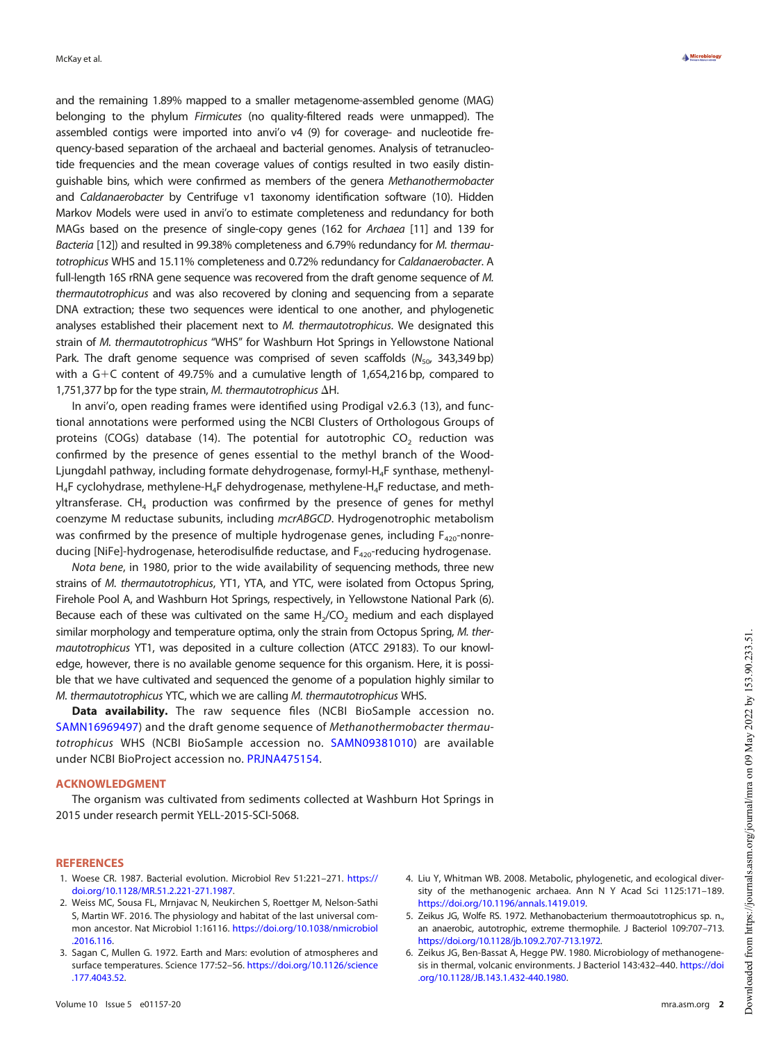and the remaining 1.89% mapped to a smaller metagenome-assembled genome (MAG) belonging to the phylum Firmicutes (no quality-filtered reads were unmapped). The assembled contigs were imported into anvi'o v4 ([9](#page-2-2)) for coverage- and nucleotide frequency-based separation of the archaeal and bacterial genomes. Analysis of tetranucleotide frequencies and the mean coverage values of contigs resulted in two easily distinguishable bins, which were confirmed as members of the genera Methanothermobacter and Caldanaerobacter by Centrifuge v1 taxonomy identification software [\(10\)](#page-2-3). Hidden Markov Models were used in anvi'o to estimate completeness and redundancy for both MAGs based on the presence of single-copy genes (162 for Archaea [\[11](#page-2-4)] and 139 for Bacteria [\[12\]](#page-2-5)) and resulted in 99.38% completeness and 6.79% redundancy for M. thermautotrophicus WHS and 15.11% completeness and 0.72% redundancy for Caldanaerobacter. A full-length 16S rRNA gene sequence was recovered from the draft genome sequence of M. thermautotrophicus and was also recovered by cloning and sequencing from a separate DNA extraction; these two sequences were identical to one another, and phylogenetic analyses established their placement next to M. thermautotrophicus. We designated this strain of M. thermautotrophicus "WHS" for Washburn Hot Springs in Yellowstone National Park. The draft genome sequence was comprised of seven scaffolds  $(N_{50}$ , 343,349 bp) with a  $G+C$  content of 49.75% and a cumulative length of 1,654,216 bp, compared to 1,751,377 bp for the type strain, M. thermautotrophicus  $\Delta H$ .

In anvi'o, open reading frames were identified using Prodigal v2.6.3 [\(13](#page-2-6)), and functional annotations were performed using the NCBI Clusters of Orthologous Groups of proteins (COGs) database ([14](#page-2-7)). The potential for autotrophic  $CO<sub>2</sub>$  reduction was confirmed by the presence of genes essential to the methyl branch of the Wood-Ljungdahl pathway, including formate dehydrogenase, formyl-H<sub>4</sub>F synthase, methenyl- $H_4F$  cyclohydrase, methylene-H<sub>4</sub>F dehydrogenase, methylene-H<sub>4</sub>F reductase, and methyltransferase. CH<sub>4</sub> production was confirmed by the presence of genes for methyl coenzyme M reductase subunits, including mcrABGCD. Hydrogenotrophic metabolism was confirmed by the presence of multiple hydrogenase genes, including  $F_{420}$ -nonreducing [NiFe]-hydrogenase, heterodisulfide reductase, and  $F_{420}$ -reducing hydrogenase.

Nota bene, in 1980, prior to the wide availability of sequencing methods, three new strains of M. thermautotrophicus, YT1, YTA, and YTC, were isolated from Octopus Spring, Firehole Pool A, and Washburn Hot Springs, respectively, in Yellowstone National Park [\(6\)](#page-1-5). Because each of these was cultivated on the same  $H_2/CO_2$  medium and each displayed similar morphology and temperature optima, only the strain from Octopus Spring, M. thermautotrophicus YT1, was deposited in a culture collection (ATCC 29183). To our knowledge, however, there is no available genome sequence for this organism. Here, it is possible that we have cultivated and sequenced the genome of a population highly similar to M. thermautotrophicus YTC, which we are calling M. thermautotrophicus WHS.

Data availability. The raw sequence files (NCBI BioSample accession no. [SAMN16969497](https://www.ncbi.nlm.nih.gov/biosample/SAMN16969497)) and the draft genome sequence of Methanothermobacter thermautotrophicus WHS (NCBI BioSample accession no. [SAMN09381010\)](https://www.ncbi.nlm.nih.gov/biosample/SAMN09381010) are available under NCBI BioProject accession no. [PRJNA475154.](https://www.ncbi.nlm.nih.gov/bioproject/PRJNA475154)

## ACKNOWLEDGMENT

The organism was cultivated from sediments collected at Washburn Hot Springs in 2015 under research permit YELL-2015-SCI-5068.

## REFERENCES

- <span id="page-1-0"></span>1. Woese CR. 1987. Bacterial evolution. Microbiol Rev 51:221–271. [https://](https://doi.org/10.1128/MR.51.2.221-271.1987) [doi.org/10.1128/MR.51.2.221-271.1987.](https://doi.org/10.1128/MR.51.2.221-271.1987)
- <span id="page-1-1"></span>2. Weiss MC, Sousa FL, Mrnjavac N, Neukirchen S, Roettger M, Nelson-Sathi S, Martin WF. 2016. The physiology and habitat of the last universal common ancestor. Nat Microbiol 1:16116. [https://doi.org/10.1038/nmicrobiol](https://doi.org/10.1038/nmicrobiol.2016.116) [.2016.116](https://doi.org/10.1038/nmicrobiol.2016.116).
- <span id="page-1-2"></span>3. Sagan C, Mullen G. 1972. Earth and Mars: evolution of atmospheres and surface temperatures. Science 177:52–56. [https://doi.org/10.1126/science](https://doi.org/10.1126/science.177.4043.52) [.177.4043.52](https://doi.org/10.1126/science.177.4043.52).
- <span id="page-1-3"></span>4. Liu Y, Whitman WB. 2008. Metabolic, phylogenetic, and ecological diversity of the methanogenic archaea. Ann N Y Acad Sci 1125:171–189. [https://doi.org/10.1196/annals.1419.019.](https://doi.org/10.1196/annals.1419.019)
- <span id="page-1-4"></span>5. Zeikus JG, Wolfe RS. 1972. Methanobacterium thermoautotrophicus sp. n., an anaerobic, autotrophic, extreme thermophile. J Bacteriol 109:707–713. [https://doi.org/10.1128/jb.109.2.707-713.1972.](https://doi.org/10.1128/jb.109.2.707-713.1972)
- <span id="page-1-5"></span>6. Zeikus JG, Ben-Bassat A, Hegge PW. 1980. Microbiology of methanogenesis in thermal, volcanic environments. J Bacteriol 143:432–440. [https://doi](https://doi.org/10.1128/JB.143.1.432-440.1980) [.org/10.1128/JB.143.1.432-440.1980](https://doi.org/10.1128/JB.143.1.432-440.1980).